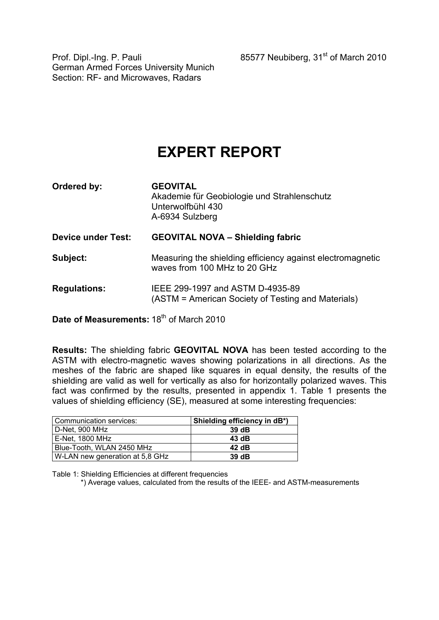Prof. Dipl.-Ing. P. Pauli 85577 Neubiberg, 31<sup>st</sup> of March 2010

German Armed Forces University Munich Section: RF- and Microwaves, Radars

## **EXPERT REPORT**

| Ordered by:               | <b>GEOVITAL</b><br>Akademie für Geobiologie und Strahlenschutz<br>Unterwolfbühl 430<br>A-6934 Sulzberg |  |  |  |  |  |
|---------------------------|--------------------------------------------------------------------------------------------------------|--|--|--|--|--|
| <b>Device under Test:</b> | <b>GEOVITAL NOVA - Shielding fabric</b>                                                                |  |  |  |  |  |
| Subject:                  | Measuring the shielding efficiency against electromagnetic<br>waves from 100 MHz to 20 GHz             |  |  |  |  |  |
| <b>Regulations:</b>       | IEEE 299-1997 and ASTM D-4935-89<br>(ASTM = American Society of Testing and Materials)                 |  |  |  |  |  |

**Date of Measurements: 18<sup>th</sup> of March 2010** 

**Results:** The shielding fabric **GEOVITAL NOVA** has been tested according to the ASTM with electro-magnetic waves showing polarizations in all directions. As the meshes of the fabric are shaped like squares in equal density, the results of the shielding are valid as well for vertically as also for horizontally polarized waves. This fact was confirmed by the results, presented in appendix 1. Table 1 presents the values of shielding efficiency (SE), measured at some interesting frequencies:

| l Communication services:       | Shielding efficiency in dB*) |
|---------------------------------|------------------------------|
| D-Net, 900 MHz                  | 39dB                         |
| E-Net. 1800 MHz                 | 43 dB                        |
| Blue-Tooth, WLAN 2450 MHz       | 42 dB                        |
| W-LAN new generation at 5,8 GHz | 39dB                         |

Table 1: Shielding Efficiencies at different frequencies

\*) Average values, calculated from the results of the IEEE- and ASTM-measurements